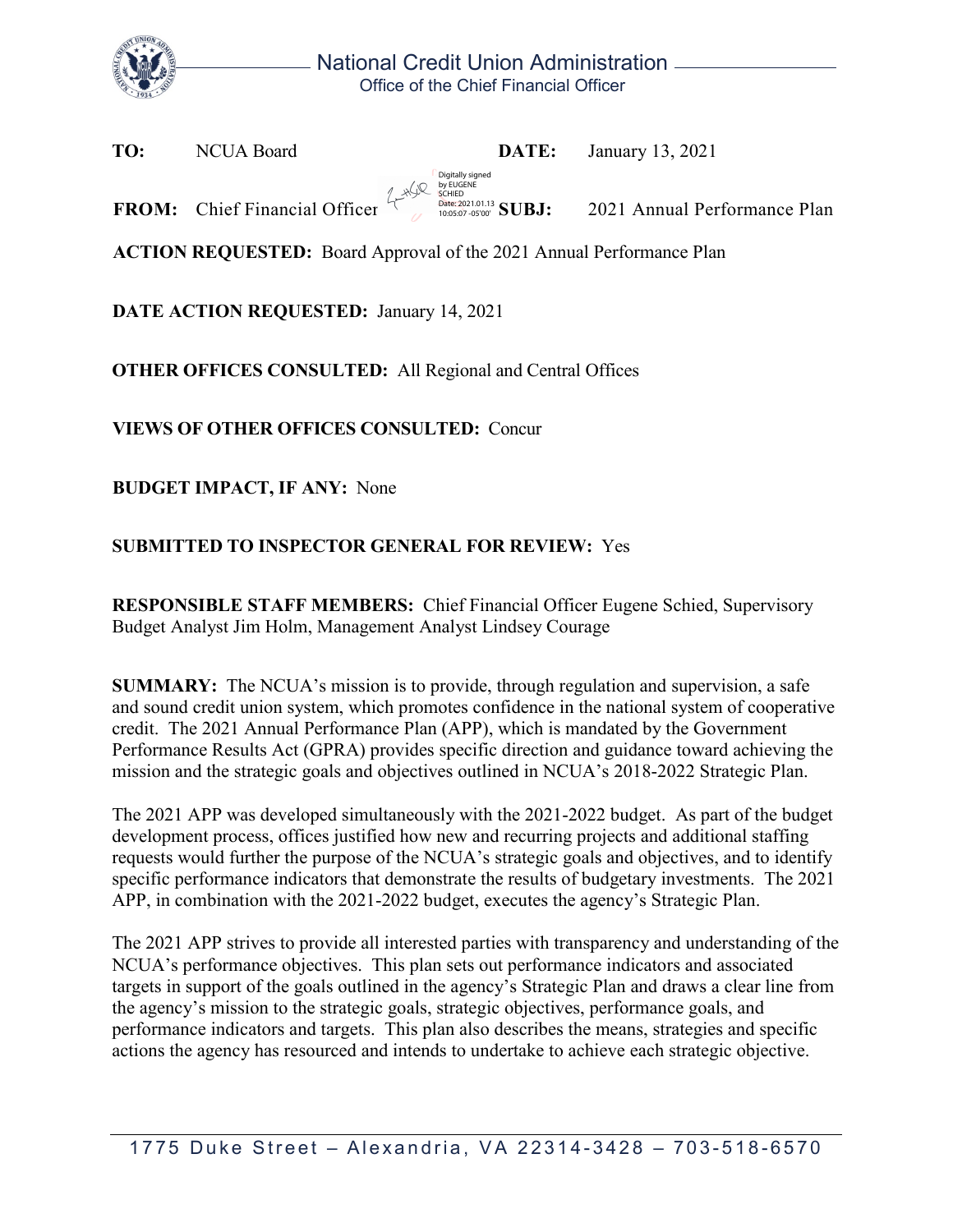

**TO:** NCUA Board **DATE:** January 13, 2021

**FROM:** Chief Financial Officer **Substantial Substantial SUBJ:** 2021 Annual Performance Plan by EUGENE<br>SCHIED Date: 2021.01.13 10:05:07 -05'00'

Digitally signed

**ACTION REQUESTED:** Board Approval of the 2021 Annual Performance Plan

**DATE ACTION REQUESTED:** January 14, 2021

**OTHER OFFICES CONSULTED:** All Regional and Central Offices

**VIEWS OF OTHER OFFICES CONSULTED:** Concur

**BUDGET IMPACT, IF ANY:** None

## **SUBMITTED TO INSPECTOR GENERAL FOR REVIEW:** Yes

**RESPONSIBLE STAFF MEMBERS:** Chief Financial Officer Eugene Schied, Supervisory Budget Analyst Jim Holm, Management Analyst Lindsey Courage

**SUMMARY:** The NCUA's mission is to provide, through regulation and supervision, a safe and sound credit union system, which promotes confidence in the national system of cooperative credit. The 2021 Annual Performance Plan (APP), which is mandated by the Government Performance Results Act (GPRA) provides specific direction and guidance toward achieving the mission and the strategic goals and objectives outlined in NCUA's 2018-2022 Strategic Plan.

The 2021 APP was developed simultaneously with the 2021-2022 budget. As part of the budget development process, offices justified how new and recurring projects and additional staffing requests would further the purpose of the NCUA's strategic goals and objectives, and to identify specific performance indicators that demonstrate the results of budgetary investments. The 2021 APP, in combination with the 2021-2022 budget, executes the agency's Strategic Plan.

The 2021 APP strives to provide all interested parties with transparency and understanding of the NCUA's performance objectives. This plan sets out performance indicators and associated targets in support of the goals outlined in the agency's Strategic Plan and draws a clear line from the agency's mission to the strategic goals, strategic objectives, performance goals, and performance indicators and targets. This plan also describes the means, strategies and specific actions the agency has resourced and intends to undertake to achieve each strategic objective.